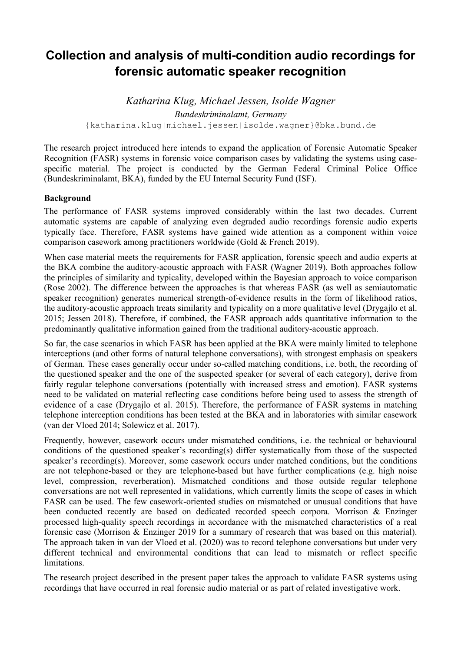## **Collection and analysis of multi-condition audio recordings for forensic automatic speaker recognition**

*Katharina Klug, Michael Jessen, Isolde Wagner Bundeskriminalamt, Germany* {katharina.klug|michael.jessen|isolde.wagner}@bka.bund.de

The research project introduced here intends to expand the application of Forensic Automatic Speaker Recognition (FASR) systems in forensic voice comparison cases by validating the systems using casespecific material. The project is conducted by the German Federal Criminal Police Office (Bundeskriminalamt, BKA), funded by the EU Internal Security Fund (ISF).

## **Background**

The performance of FASR systems improved considerably within the last two decades. Current automatic systems are capable of analyzing even degraded audio recordings forensic audio experts typically face. Therefore, FASR systems have gained wide attention as a component within voice comparison casework among practitioners worldwide (Gold & French 2019).

When case material meets the requirements for FASR application, forensic speech and audio experts at the BKA combine the auditory-acoustic approach with FASR (Wagner 2019). Both approaches follow the principles of similarity and typicality, developed within the Bayesian approach to voice comparison (Rose 2002). The difference between the approaches is that whereas FASR (as well as semiautomatic speaker recognition) generates numerical strength-of-evidence results in the form of likelihood ratios, the auditory-acoustic approach treats similarity and typicality on a more qualitative level (Drygajlo et al. 2015; Jessen 2018). Therefore, if combined, the FASR approach adds quantitative information to the predominantly qualitative information gained from the traditional auditory-acoustic approach.

So far, the case scenarios in which FASR has been applied at the BKA were mainly limited to telephone interceptions (and other forms of natural telephone conversations), with strongest emphasis on speakers of German. These cases generally occur under so-called matching conditions, i.e. both, the recording of the questioned speaker and the one of the suspected speaker (or several of each category), derive from fairly regular telephone conversations (potentially with increased stress and emotion). FASR systems need to be validated on material reflecting case conditions before being used to assess the strength of evidence of a case (Drygajlo et al. 2015). Therefore, the performance of FASR systems in matching telephone interception conditions has been tested at the BKA and in laboratories with similar casework (van der Vloed 2014; Solewicz et al. 2017).

Frequently, however, casework occurs under mismatched conditions, i.e. the technical or behavioural conditions of the questioned speaker's recording(s) differ systematically from those of the suspected speaker's recording(s). Moreover, some casework occurs under matched conditions, but the conditions are not telephone-based or they are telephone-based but have further complications (e.g. high noise level, compression, reverberation). Mismatched conditions and those outside regular telephone conversations are not well represented in validations, which currently limits the scope of cases in which FASR can be used. The few casework-oriented studies on mismatched or unusual conditions that have been conducted recently are based on dedicated recorded speech corpora. Morrison & Enzinger processed high-quality speech recordings in accordance with the mismatched characteristics of a real forensic case (Morrison & Enzinger 2019 for a summary of research that was based on this material). The approach taken in van der Vloed et al. (2020) was to record telephone conversations but under very different technical and environmental conditions that can lead to mismatch or reflect specific limitations.

The research project described in the present paper takes the approach to validate FASR systems using recordings that have occurred in real forensic audio material or as part of related investigative work.